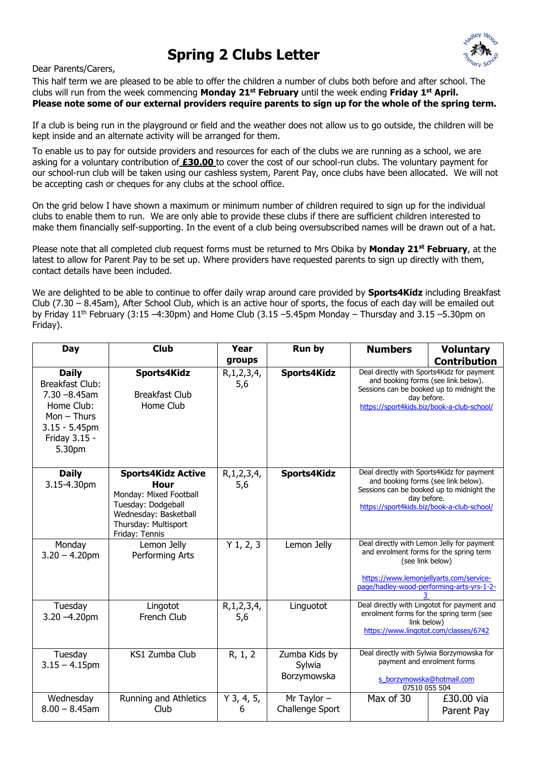## **Spring 2 Clubs Letter**



Dear Parents/Carers,

This half term we are pleased to be able to offer the children a number of clubs both before and after school. The clubs will run from the week commencing **Monday 21st February** until the week ending **Friday 1 st April. Please note some of our external providers require parents to sign up for the whole of the spring term.**

If a club is being run in the playground or field and the weather does not allow us to go outside, the children will be kept inside and an alternate activity will be arranged for them.

To enable us to pay for outside providers and resources for each of the clubs we are running as a school, we are asking for a voluntary contribution of **£30.00** to cover the cost of our school-run clubs. The voluntary payment for our school-run club will be taken using our cashless system, Parent Pay, once clubs have been allocated. We will not be accepting cash or cheques for any clubs at the school office.

On the grid below I have shown a maximum or minimum number of children required to sign up for the individual clubs to enable them to run. We are only able to provide these clubs if there are sufficient children interested to make them financially self-supporting. In the event of a club being oversubscribed names will be drawn out of a hat.

Please note that all completed club request forms must be returned to Mrs Obika by **Monday 21st February**, at the latest to allow for Parent Pay to be set up. Where providers have requested parents to sign up directly with them, contact details have been included.

We are delighted to be able to continue to offer daily wrap around care provided by **Sports4Kidz** including Breakfast Club (7.30 – 8.45am), After School Club, which is an active hour of sports, the focus of each day will be emailed out by Friday  $11<sup>th</sup>$  February (3:15 -4:30pm) and Home Club (3.15 -5.45pm Monday – Thursday and 3.15 -5.30pm on Friday).

| Day                                                                                                                                     | <b>Club</b>                                                                                                                                          | Year                  | Run by                                 | <b>Numbers</b>                                                                                                                                                                                    | <b>Voluntary</b>         |
|-----------------------------------------------------------------------------------------------------------------------------------------|------------------------------------------------------------------------------------------------------------------------------------------------------|-----------------------|----------------------------------------|---------------------------------------------------------------------------------------------------------------------------------------------------------------------------------------------------|--------------------------|
|                                                                                                                                         |                                                                                                                                                      | groups                |                                        |                                                                                                                                                                                                   | <b>Contribution</b>      |
| <b>Daily</b><br><b>Breakfast Club:</b><br>$7.30 - 8.45$ am<br>Home Club:<br>$Mon - Thus$<br>$3.15 - 5.45$ pm<br>Friday 3.15 -<br>5.30pm | Sports4Kidz<br><b>Breakfast Club</b><br>Home Club                                                                                                    | R, 1, 2, 3, 4,<br>5,6 | Sports4Kidz                            | Deal directly with Sports4Kidz for payment<br>and booking forms (see link below).<br>Sessions can be booked up to midnight the<br>day before.<br>https://sport4kids.biz/book-a-club-school/       |                          |
| <b>Daily</b><br>3.15-4.30pm                                                                                                             | <b>Sports4Kidz Active</b><br>Hour<br>Monday: Mixed Football<br>Tuesday: Dodgeball<br>Wednesday: Basketball<br>Thursday: Multisport<br>Friday: Tennis | R, 1, 2, 3, 4,<br>5,6 | Sports4Kidz                            | Deal directly with Sports4Kidz for payment<br>and booking forms (see link below).<br>Sessions can be booked up to midnight the<br>day before.<br>https://sport4kids.biz/book-a-club-school/       |                          |
| Monday<br>$3.20 - 4.20$ pm                                                                                                              | Lemon Jelly<br>Performing Arts                                                                                                                       | $Y$ 1, 2, 3           | Lemon Jelly                            | Deal directly with Lemon Jelly for payment<br>and enrolment forms for the spring term<br>(see link below)<br>https://www.lemonjellyarts.com/service-<br>page/hadley-wood-performing-arts-yrs-1-2- |                          |
| Tuesday<br>$3.20 - 4.20$ pm                                                                                                             | Lingotot<br><b>French Club</b>                                                                                                                       | R, 1, 2, 3, 4,<br>5,6 | Linguotot                              | Deal directly with Lingotot for payment and<br>enrolment forms for the spring term (see<br>link below)<br>https://www.lingotot.com/classes/6742                                                   |                          |
| Tuesday<br>$3.15 - 4.15$ pm                                                                                                             | <b>KS1 Zumba Club</b>                                                                                                                                | R, 1, 2               | Zumba Kids by<br>Sylwia<br>Borzymowska | Deal directly with Sylwia Borzymowska for<br>payment and enrolment forms<br>s_borzymowska@hotmail.com<br>07510 055 504                                                                            |                          |
| Wednesday<br>$8.00 - 8.45$ am                                                                                                           | Running and Athletics<br>Club                                                                                                                        | $Y$ 3, 4, 5,<br>6     | Mr Taylor $-$<br>Challenge Sport       | Max of 30                                                                                                                                                                                         | £30.00 via<br>Parent Pay |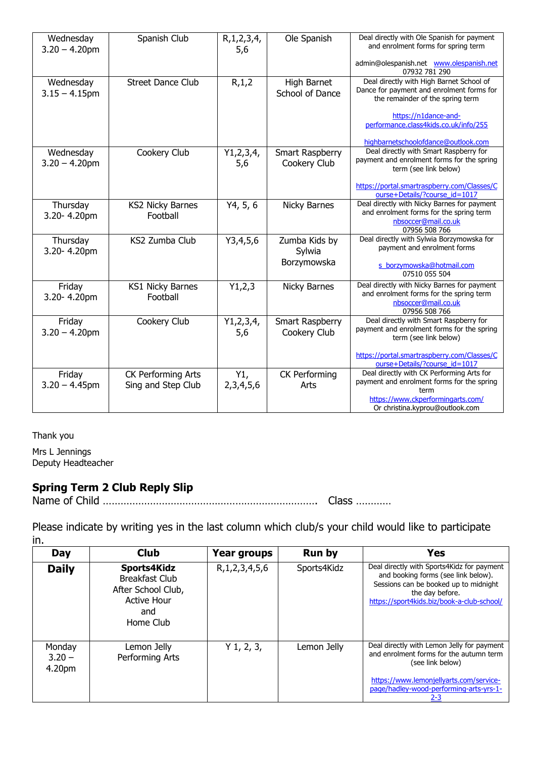| Wednesday<br>$3.20 - 4.20$ pm | Spanish Club                                    | R, 1, 2, 3, 4,<br>5,6 | Ole Spanish                     | Deal directly with Ole Spanish for payment<br>and enrolment forms for spring term                                                                                       |  |
|-------------------------------|-------------------------------------------------|-----------------------|---------------------------------|-------------------------------------------------------------------------------------------------------------------------------------------------------------------------|--|
|                               |                                                 |                       |                                 | admin@olespanish.net www.olespanish.net<br>07932 781 290                                                                                                                |  |
| Wednesday<br>$3.15 - 4.15$ pm | <b>Street Dance Club</b>                        | R, 1, 2               | High Barnet<br>School of Dance  | Deal directly with High Barnet School of<br>Dance for payment and enrolment forms for<br>the remainder of the spring term                                               |  |
|                               |                                                 |                       |                                 | https://n1dance-and-<br>performance.class4kids.co.uk/info/255<br>highbarnetschoolofdance@outlook.com                                                                    |  |
| Wednesday<br>$3.20 - 4.20$ pm | Cookery Club                                    | Y1, 2, 3, 4,<br>5,6   | Smart Raspberry<br>Cookery Club | Deal directly with Smart Raspberry for<br>payment and enrolment forms for the spring<br>term (see link below)                                                           |  |
|                               |                                                 |                       |                                 | https://portal.smartraspberry.com/Classes/C<br>ourse+Details/?course_id=1017                                                                                            |  |
| Thursday<br>3.20-4.20pm       | <b>KS2 Nicky Barnes</b><br>Football             | Y4, 5, 6              | <b>Nicky Barnes</b>             | Deal directly with Nicky Barnes for payment<br>and enrolment forms for the spring term<br>nbsoccer@mail.co.uk<br>07956 508 766                                          |  |
| Thursday<br>3.20-4.20pm       | KS2 Zumba Club                                  | Y3,4,5,6              | Zumba Kids by<br>Sylwia         | Deal directly with Sylwia Borzymowska for<br>payment and enrolment forms                                                                                                |  |
|                               |                                                 |                       | Borzymowska                     | s borzymowska@hotmail.com<br>07510 055 504                                                                                                                              |  |
| Friday<br>3.20-4.20pm         | <b>KS1 Nicky Barnes</b><br>Football             | Y1,2,3                | Nicky Barnes                    | Deal directly with Nicky Barnes for payment<br>and enrolment forms for the spring term<br>nbsoccer@mail.co.uk<br>07956 508 766                                          |  |
| Friday<br>$3.20 - 4.20$ pm    | Cookery Club                                    | Y1, 2, 3, 4,<br>5,6   | Smart Raspberry<br>Cookery Club | Deal directly with Smart Raspberry for<br>payment and enrolment forms for the spring<br>term (see link below)                                                           |  |
|                               |                                                 |                       |                                 | https://portal.smartraspberry.com/Classes/C<br>ourse+Details/?course id=1017                                                                                            |  |
| Friday<br>$3.20 - 4.45$ pm    | <b>CK Performing Arts</b><br>Sing and Step Club | Y1,<br>2,3,4,5,6      | <b>CK Performing</b><br>Arts    | Deal directly with CK Performing Arts for<br>payment and enrolment forms for the spring<br>term<br>https://www.ckperformingarts.com/<br>Or christina.kyprou@outlook.com |  |

Thank you

Mrs L Jennings Deputy Headteacher

## **Spring Term 2 Club Reply Slip**

Name of Child ………………………………………………………………. Class …………

Please indicate by writing yes in the last column which club/s your child would like to participate in.

| Day                          | <b>Club</b>                                                                                          | <b>Year groups</b>  | <b>Run by</b> | <b>Yes</b>                                                                                                                                                                                             |
|------------------------------|------------------------------------------------------------------------------------------------------|---------------------|---------------|--------------------------------------------------------------------------------------------------------------------------------------------------------------------------------------------------------|
| <b>Daily</b>                 | Sports4Kidz<br><b>Breakfast Club</b><br>After School Club,<br><b>Active Hour</b><br>and<br>Home Club | R, 1, 2, 3, 4, 5, 6 | Sports4Kidz   | Deal directly with Sports4Kidz for payment<br>and booking forms (see link below).<br>Sessions can be booked up to midnight<br>the day before.<br>https://sport4kids.biz/book-a-club-school/            |
| Monday<br>$3.20 -$<br>4.20pm | Lemon Jelly<br>Performing Arts                                                                       | $Y$ 1, 2, 3,        | Lemon Jelly   | Deal directly with Lemon Jelly for payment<br>and enrolment forms for the autumn term<br>(see link below)<br>https://www.lemonjellyarts.com/service-<br>page/hadley-wood-performing-arts-yrs-1-<br>2-3 |